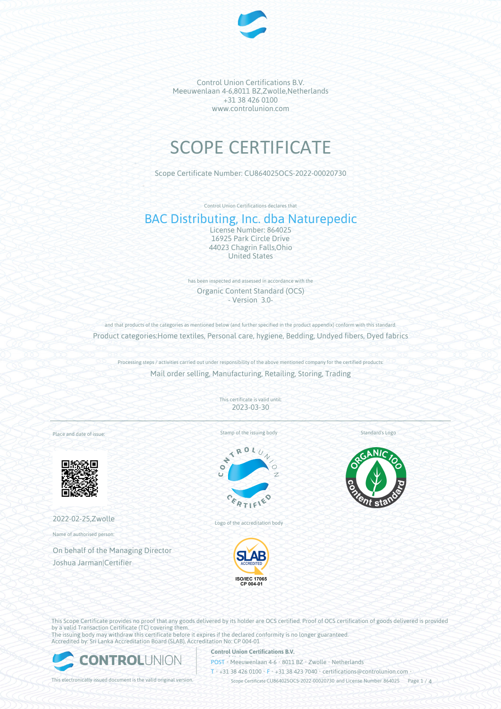

# SCOPE CERTIFICATE

Scope Certificate Number: CU864025OCS-2022-00020730

Control Union Certifications declares that

# BAC Distributing, Inc. dba Naturepedic

License Number: 864025 16925 Park Circle Drive 44023 Chagrin Falls,Ohio United States

has been inspected and assessed in accordance with the Organic Content Standard (OCS) - Version 3.0-

and that products of the categories as mentioned below (and further specified in the product appendix) conform with this standard. Product categories:Home textiles, Personal care, hygiene, Bedding, Undyed fibers, Dyed fabrics

Processing steps / activities carried out under responsibility of the above mentioned company for the certified products: Mail order selling, Manufacturing, Retailing, Storing, Trading

> This certificate is valid until: 2023-03-30

Place and date of issue:



2022-02-25,Zwolle

Name of authorised person:

On behalf of the Managing Director Joshua Jarman|Certifier

Stamp of the issuing body



Logo of the accreditation body



Standard's Logo



This Scope Certificate provides no proof that any goods delivered by its holder are OCS certified. Proof of OCS certification of goods delivered is provided by a valid Transaction Certificate (TC) covering them. The issuing body may withdraw this certificate before it expires if the declared conformity is no longer guaranteed.

Accredited by: Sri Lanka Accreditation Board (SLAB), Accreditation No: CP 004-01



**Control Union Certifications B.V.**

**POST** • Meeuwenlaan 4-6 • 8011 BZ • Zwolle • Netherlands

T • +31 38 426 0100 • F • +31 38 423 7040 • certifications@controlunion.com •

This electronically issued document is the valid original version. Scope Certificate CU864025OCS-2022-00020730 and License Number 864025 Page 1 / 4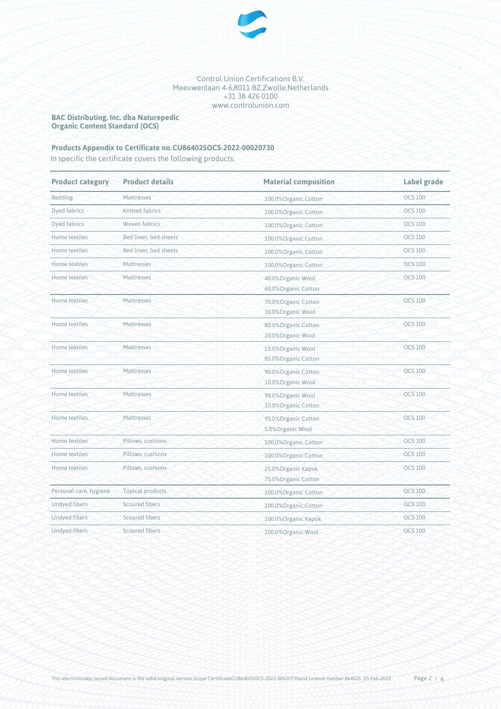

**BAC Distributing, Inc. dba Naturepedic Organic Content Standard (OCS)**

### Products Appendix to Certificate no.CU864025OCS-2022-00020730

In specific the certificate covers the following products:

| <b>Product category</b> | <b>Product details</b>  | <b>Material composition</b>                 | Label grade    |
|-------------------------|-------------------------|---------------------------------------------|----------------|
| Bedding                 | Mattresses              | 100.0% Organic Cotton                       | <b>OCS 100</b> |
| Dyed fabrics            | <b>Knitted fabrics</b>  | 100.0%Organic Cotton                        | <b>OCS 100</b> |
| <b>Dyed fabrics</b>     | <b>Woven fabrics</b>    | 100.0%Organic Cotton                        | <b>OCS 100</b> |
| Home textiles           | Bed linen, bed sheets   | 100.0%Organic Cotton                        | <b>OCS 100</b> |
| Home textiles           | Bed linen, bed sheets   | 100.0%Organic Cotton                        | <b>OCS 100</b> |
| Home textiles           | Mattresses              | 100.0% Organic Cotton                       | <b>OCS 100</b> |
| Home textiles           | Mattresses              | 40.0%Organic Wool<br>60.0% Organic Cotton   | <b>OCS 100</b> |
| Home textiles           | Mattresses              | 70.0%Organic Cotton<br>30.0%Organic Wool    | <b>OCS 100</b> |
| Home textiles           | Mattresses              | 80.0%Organic Cotton<br>20.0% Organic Wool   | <b>OCS 100</b> |
| Home textiles           | Mattresses              | 15.0%Organic Wool<br>85.0%Organic Cotton    | <b>OCS 100</b> |
| Home textiles           | Mattresses              | 90.0%Organic Cotton<br>10.0%Organic Wool    | <b>OCS 100</b> |
| Home textiles           | Mattresses              | 90.0%Organic Wool<br>10.0% Organic Cotton   | <b>OCS 100</b> |
| Home textiles           | Mattresses              | 95.0%Organic Cotton<br>5.0%Organic Wool     | <b>OCS 100</b> |
| Home textiles           | Pillows, cushions       | 100.0%Organic Cotton                        | <b>OCS 100</b> |
| Home textiles           | Pillows, cushions       | 100.0%Organic Cotton                        | <b>OCS 100</b> |
| Home textiles           | Pillows, cushions       | 25.0% Organic Kapok<br>75.0% Organic Cotton | <b>OCS 100</b> |
| Personal care, hygiene  | <b>Topical products</b> | 100.0%Organic Cotton                        | <b>OCS 100</b> |
| <b>Undyed fibers</b>    | Scoured fibers          | 100.0%Organic Cotton                        | <b>OCS 100</b> |
| <b>Undyed fibers</b>    | <b>Scoured fibers</b>   | 100.0% Organic Kapok                        | <b>OCS 100</b> |
| <b>Undyed fibers</b>    | Scoured fibers          | 100.0%Organic Wool                          | <b>OCS 100</b> |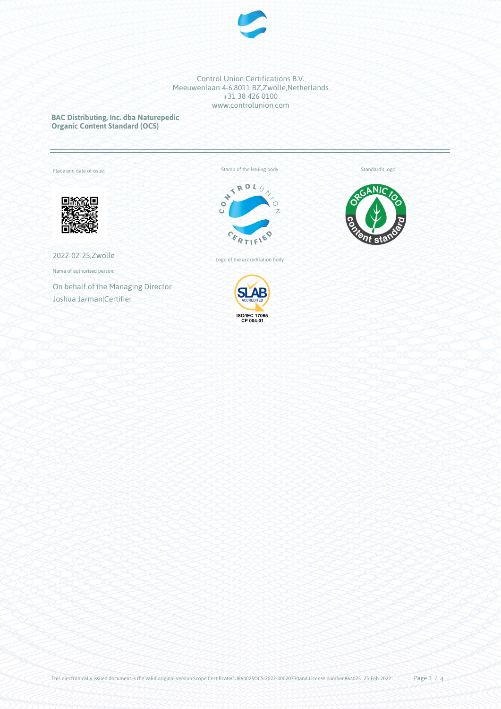

**BAC Distributing, Inc. dba Naturepedic Organic Content Standard (OCS)**

Annex to certificate no.: CU864025OCS-2022-00020730

Place and date of issue:



2022-02-25,Zwolle

Name of authorised person:

On behalf of the Managing Director Joshua Jarman|Certifier





Standard's logo

Logo of the accreditation body